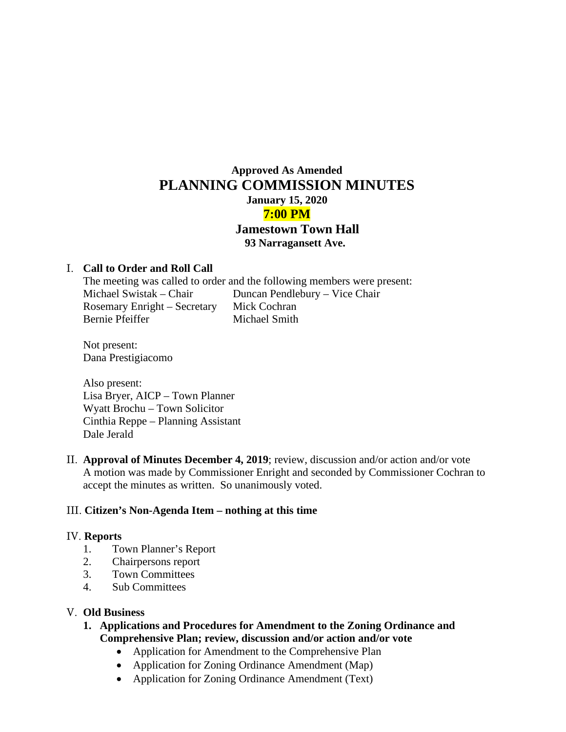# **Approved As Amended PLANNING COMMISSION MINUTES January 15, 2020 7:00 PM Jamestown Town Hall 93 Narragansett Ave.**

### I. **Call to Order and Roll Call**

The meeting was called to order and the following members were present: Michael Swistak – Chair Duncan Pendlebury – Vice Chair Rosemary Enright – Secretary Mick Cochran Bernie Pfeiffer Michael Smith

Not present: Dana Prestigiacomo

Also present: Lisa Bryer, AICP – Town Planner Wyatt Brochu – Town Solicitor Cinthia Reppe – Planning Assistant Dale Jerald

II. **Approval of Minutes December 4, 2019**; review, discussion and/or action and/or vote A motion was made by Commissioner Enright and seconded by Commissioner Cochran to accept the minutes as written. So unanimously voted.

#### III. **Citizen's Non-Agenda Item – nothing at this time**

#### IV. **Reports**

- 1. Town Planner's Report
- 2. Chairpersons report
- 3. Town Committees
- 4. Sub Committees

#### V. **Old Business**

- **1. Applications and Procedures for Amendment to the Zoning Ordinance and Comprehensive Plan; review, discussion and/or action and/or vote**
	- Application for Amendment to the Comprehensive Plan
	- Application for Zoning Ordinance Amendment (Map)
	- Application for Zoning Ordinance Amendment (Text)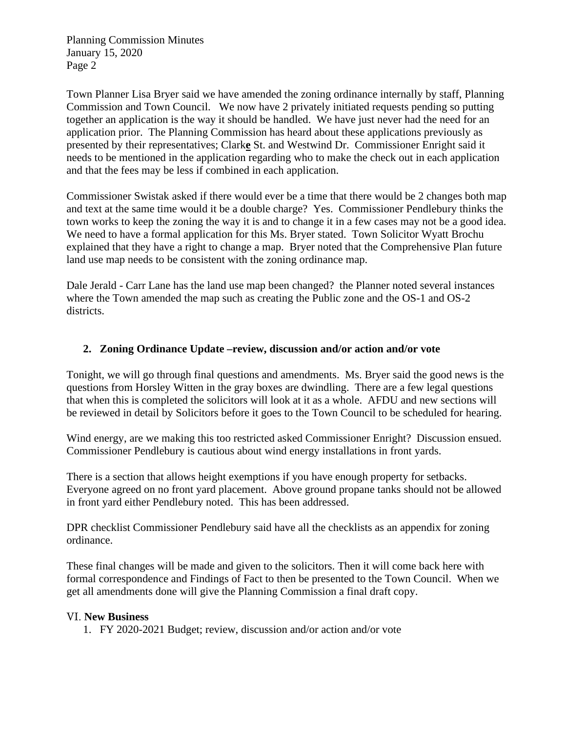Planning Commission Minutes January 15, 2020 Page 2

Town Planner Lisa Bryer said we have amended the zoning ordinance internally by staff, Planning Commission and Town Council. We now have 2 privately initiated requests pending so putting together an application is the way it should be handled. We have just never had the need for an application prior. The Planning Commission has heard about these applications previously as presented by their representatives; Clark**e** St. and Westwind Dr. Commissioner Enright said it needs to be mentioned in the application regarding who to make the check out in each application and that the fees may be less if combined in each application.

Commissioner Swistak asked if there would ever be a time that there would be 2 changes both map and text at the same time would it be a double charge? Yes. Commissioner Pendlebury thinks the town works to keep the zoning the way it is and to change it in a few cases may not be a good idea. We need to have a formal application for this Ms. Bryer stated. Town Solicitor Wyatt Brochu explained that they have a right to change a map. Bryer noted that the Comprehensive Plan future land use map needs to be consistent with the zoning ordinance map.

Dale Jerald - Carr Lane has the land use map been changed? the Planner noted several instances where the Town amended the map such as creating the Public zone and the OS-1 and OS-2 districts.

## **2. Zoning Ordinance Update –review, discussion and/or action and/or vote**

Tonight, we will go through final questions and amendments. Ms. Bryer said the good news is the questions from Horsley Witten in the gray boxes are dwindling. There are a few legal questions that when this is completed the solicitors will look at it as a whole. AFDU and new sections will be reviewed in detail by Solicitors before it goes to the Town Council to be scheduled for hearing.

Wind energy, are we making this too restricted asked Commissioner Enright? Discussion ensued. Commissioner Pendlebury is cautious about wind energy installations in front yards.

There is a section that allows height exemptions if you have enough property for setbacks. Everyone agreed on no front yard placement. Above ground propane tanks should not be allowed in front yard either Pendlebury noted. This has been addressed.

DPR checklist Commissioner Pendlebury said have all the checklists as an appendix for zoning ordinance.

These final changes will be made and given to the solicitors. Then it will come back here with formal correspondence and Findings of Fact to then be presented to the Town Council. When we get all amendments done will give the Planning Commission a final draft copy.

## VI. **New Business**

1. FY 2020-2021 Budget; review, discussion and/or action and/or vote